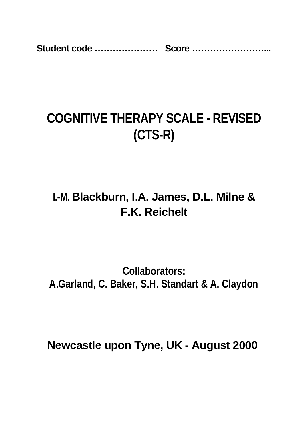**Student code ………………… Score ……………………...** 

# **COGNITIVE THERAPY SCALE - REVISED (CTS-R)**

# **I.-M. Blackburn, I.A. James, D.L. Milne & F.K. Reichelt**

**Collaborators: A.Garland, C. Baker, S.H. Standart & A. Claydon** 

**Newcastle upon Tyne, UK - August 2000**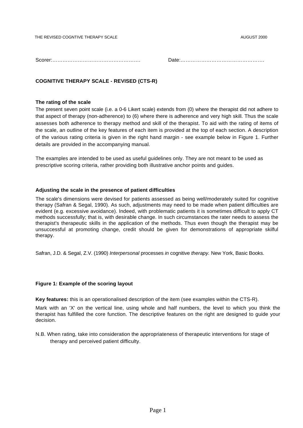THE REVISED COGNTIVE THERAPY SCALE AUGUST 2000

Scorer:……………………………………………. Date:………………………………………….

# **COGNITIVE THERAPY SCALE - REVISED (CTS-R)**

#### **The rating of the scale**

The present seven point scale (i.e. a 0-6 Likert scale) extends from (0) where the therapist did not adhere to that aspect of therapy (non-adherence) to (6) where there is adherence and very high skill. Thus the scale assesses both adherence to therapy method and skill of the therapist. To aid with the rating of items of the scale, an outline of the key features of each item is provided at the top of each section. A description of the various rating criteria is given in the right hand margin - see example below in Figure 1. Further details are provided in the accompanying manual.

The examples are intended to be used as useful guidelines only. They are not meant to be used as prescriptive scoring criteria, rather providing both illustrative anchor points and guides.

## **Adjusting the scale in the presence of patient difficulties**

The scale's dimensions were devised for patients assessed as being well/moderately suited for cognitive therapy (Safran & Segal, 1990). As such, adjustments may need to be made when patient difficulties are evident (e.g. excessive avoidance). Indeed, with problematic patients it is sometimes difficult to apply CT methods successfully; that is, with desirable change. In such circumstances the rater needs to assess the therapist's therapeutic skills in the application of the methods. Thus even though the therapist may be unsuccessful at promoting change, credit should be given for demonstrations of appropriate skilful therapy.

Safran, J.D. & Segal, Z.V. (1990) *Interpersonal* processes *in* cognitive *therapy.* New York, Basic Books.

## **Figure 1: Example of the scoring layout**

**Key features:** this is an operationalised description of the item (see examples within the CTS-R).

Mark with an 'X' on the vertical line, using whole and half numbers, the level to which you think the therapist has fulfilled the core function. The descriptive features on the right are designed to guide your decision.

N.B. When rating, take into consideration the appropriateness of therapeutic interventions for stage of therapy and perceived patient difficulty.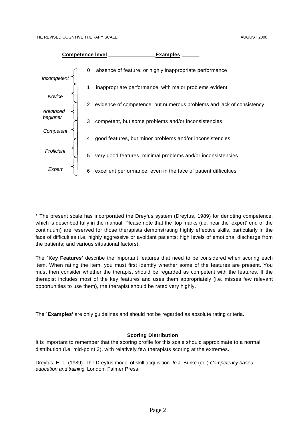

\* The present scale has incorporated the Dreyfus system (Dreyfus, 1989) for denoting competence, which is described fully in the manual. Please note that the 'top marks (i.e. near the 'expert' end of the continuum) are reserved for those therapists demonstrating highly effective skills, particularly in the face of difficulties (i.e. highly aggressive or avoidant patients; high levels of emotional discharge from the patients; and various situational factors).

The **`Key Features'** describe the important features that need to be considered when scoring each item. When rating the item, you must first identify whether some of the features are present. You must then consider whether the therapist should be regarded as competent with the features. If the therapist includes most of the key features and uses them appropriately (i.e. misses few relevant opportunities to use them), the therapist should be rated very highly.

The **`Examples'** are only guidelines and should not be regarded as absolute rating criteria.

#### **Scoring Distribution**

It is important to remember that the scoring profile for this scale should approximate to a normal distribution (i.e. mid-point 3), with relatively few therapists scoring at the extremes.

Dreyfus, H. L. (1989). The Dreyfus model of skill acquisition. *In* J. Burke (ed.) *Competency based education and training.* London: Falmer Press.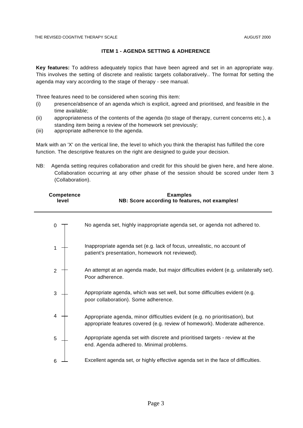# **ITEM 1 - AGENDA SETTING & ADHERENCE**

**Key features:** To address adequately topics that have been agreed and set in an appropriate way. This involves the setting of discrete and realistic targets collaboratively.. The format for setting the agenda may vary according to the stage of therapy - see manual.

Three features need to be considered when scoring this item:

- (i) presence/absence of an agenda which is explicit, agreed and prioritised, and feasible in the time available;
- (ii) appropriateness of the contents of the agenda (to stage of therapy, current concerns etc.), a standing item being a review of the homework set previously;
- (iii) appropriate adherence to the agenda.

Mark with an 'X' on the vertical line, the level to which you think the therapist has fulfilled the core function. The descriptive features on the right are designed to guide your decision.

NB: Agenda setting requires collaboration and credit for this should be given here, and here alone. Collaboration occurring at any other phase of the session should be scored under Item 3 (Collaboration).

| <b>Competence</b><br>level | <b>Examples</b><br>NB: Score according to features, not examples!                                                                                           |
|----------------------------|-------------------------------------------------------------------------------------------------------------------------------------------------------------|
|                            | No agenda set, highly inappropriate agenda set, or agenda not adhered to.                                                                                   |
|                            | Inappropriate agenda set (e.g. lack of focus, unrealistic, no account of<br>patient's presentation, homework not reviewed).                                 |
| $\overline{2}$             | An attempt at an agenda made, but major difficulties evident (e.g. unilaterally set).<br>Poor adherence.                                                    |
| 3                          | Appropriate agenda, which was set well, but some difficulties evident (e.g.<br>poor collaboration). Some adherence.                                         |
| 4                          | Appropriate agenda, minor difficulties evident (e.g. no prioritisation), but<br>appropriate features covered (e.g. review of homework). Moderate adherence. |
| 5                          | Appropriate agenda set with discrete and prioritised targets - review at the<br>end. Agenda adhered to. Minimal problems.                                   |
| 6                          | Excellent agenda set, or highly effective agenda set in the face of difficulties.                                                                           |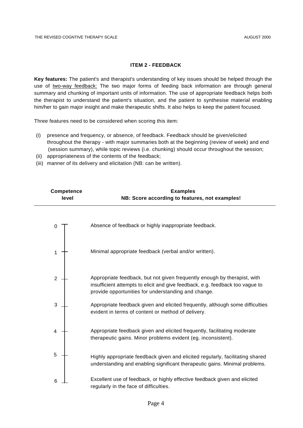#### **ITEM 2 - FEEDBACK**

**Key features:** The patient's and therapist's understanding of key issues should be helped through the use of two-way feedback: The two major forms of feeding back information are through general summary and chunking of important units of information. The use of appropriate feedback helps both the therapist to understand the patient's situation, and the patient to synthesise material enabling him/her to gain major insight and make therapeutic shifts. It also helps to keep the patient focused.

Three features need to be considered when scoring this item:

- (i) presence and frequency, or absence, of feedback. Feedback should be given/elicited throughout the therapy - with major summaries both at the beginning (review of week) and end (session summary), while topic reviews (i.e. chunking) should occur throughout the session;
- (ii) appropriateness of the contents of the feedback;
- (iii) manner of its delivery and elicitation (NB: can be written).

| <b>Competence</b><br>level | <b>Examples</b><br>NB: Score according to features, not examples!                                                                                                                                                |
|----------------------------|------------------------------------------------------------------------------------------------------------------------------------------------------------------------------------------------------------------|
| 0                          | Absence of feedback or highly inappropriate feedback.                                                                                                                                                            |
| 1                          | Minimal appropriate feedback (verbal and/or written).                                                                                                                                                            |
| $\overline{2}$             | Appropriate feedback, but not given frequently enough by therapist, with<br>insufficient attempts to elicit and give feedback, e.g. feedback too vague to<br>provide opportunities for understanding and change. |
| 3                          | Appropriate feedback given and elicited frequently, although some difficulties<br>evident in terms of content or method of delivery.                                                                             |
| 4                          | Appropriate feedback given and elicited frequently, facilitating moderate<br>therapeutic gains. Minor problems evident (eg. inconsistent).                                                                       |
| 5                          | Highly appropriate feedback given and elicited regularly, facilitating shared<br>understanding and enabling significant therapeutic gains. Minimal problems.                                                     |
| 6                          | Excellent use of feedback, or highly effective feedback given and elicited<br>regularly in the face of difficulties.                                                                                             |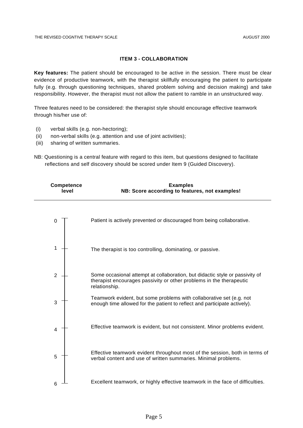#### **ITEM 3 - COLLABORATION**

**Key features:** The patient should be encouraged to be active in the session. There must be clear evidence of productive teamwork, with the therapist skillfully encouraging the patient to participate fully (e.g. through questioning techniques, shared problem solving and decision making) and take responsibility. However, the therapist must not allow the patient to ramble in an unstructured way.

Three features need to be considered: the therapist style should encourage effective teamwork through his/her use of:

- (i) verbal skills (e.g. non-hectoring);
- (ii) non-verbal skills (e.g. attention and use of joint activities);
- (iii) sharing of written summaries.
- NB: Questioning is a central feature with regard to this item, but questions designed to facilitate reflections and self discovery should be scored under Item 9 (Guided Discovery).

| <b>Competence</b><br>level | <b>Examples</b><br>NB: Score according to features, not examples!                                                                                                    |
|----------------------------|----------------------------------------------------------------------------------------------------------------------------------------------------------------------|
| 0                          | Patient is actively prevented or discouraged from being collaborative.                                                                                               |
| 1                          | The therapist is too controlling, dominating, or passive.                                                                                                            |
| $\overline{2}$             | Some occasional attempt at collaboration, but didactic style or passivity of<br>therapist encourages passivity or other problems in the therapeutic<br>relationship. |
| 3                          | Teamwork evident, but some problems with collaborative set (e.g. not<br>enough time allowed for the patient to reflect and participate actively).                    |
| 4                          | Effective teamwork is evident, but not consistent. Minor problems evident.                                                                                           |
| 5                          | Effective teamwork evident throughout most of the session, both in terms of<br>verbal content and use of written summaries. Minimal problems.                        |
| 6                          | Excellent teamwork, or highly effective teamwork in the face of difficulties.                                                                                        |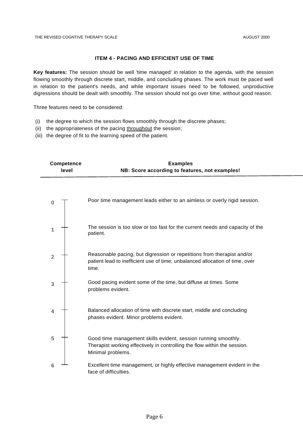## **ITEM 4 - PACING AND EFFICIENT USE OF TIME**

**Key features:** The session should be well 'time managed' in relation to the agenda, with the session flowing smoothly through discrete start, middle, and concluding phases. The work must be paced well in relation to the patient's needs, and while important issues need to be followed, unproductive digressions should be dealt with smoothly. The session should not go over time, without good reason.

Three features need to be considered:

- (i) the degree to which the session flows smoothly through the discrete phases;
- (ii) the appropriateness of the pacing throughout the session;
- (iii) the degree of fit to the learning speed of the patient.

| <b>Competence</b><br>level | <b>Examples</b><br>NB: Score according to features, not examples!                                                                                                |
|----------------------------|------------------------------------------------------------------------------------------------------------------------------------------------------------------|
| 0                          | Poor time management leads either to an aimless or overly rigid session.                                                                                         |
| 1                          | The session is too slow or too fast for the current needs and capacity of the<br>patient.                                                                        |
| $\mathbf 2$                | Reasonable pacing, but digression or repetitions from therapist and/or<br>patient lead to inefficient use of time; unbalanced allocation of time, over<br>time.  |
| 3                          | Good pacing evident some of the time, but diffuse at times. Some<br>problems evident.                                                                            |
| 4                          | Balanced allocation of time with discrete start, middle and concluding<br>phases evident. Minor problems evident.                                                |
| 5                          | Good time management skills evident, session running smoothly.<br>Therapist working effectively in controlling the flow within the session.<br>Minimal problems. |
| 6                          | Excellent time management, or highly effective management evident in the<br>face of difficulties.                                                                |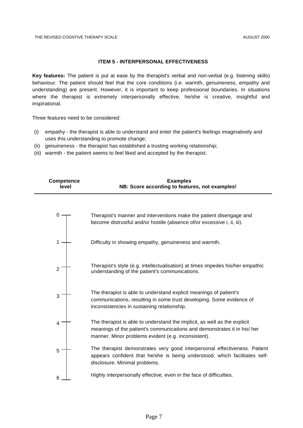#### **ITEM 5 - INTERPERSONAL EFFECTIVENESS**

**Key features:** The patient is put at ease by the therapist's verbal and non-verbal (e.g. listening skills) behaviour. The patient should feel that the core conditions (i.e. warmth, genuineness, empathy and understanding) are present. However, it is important to keep professional boundaries. In situations where the therapist is extremely interpersonally effective, he/she is creative, insightful and inspirational.

Three features need to be considered:

- (i) empathy the therapist is able to understand and enter the patient's feelings imaginatively and uses this understanding to promote change;
- (ii) genuineness the therapist has established a trusting working relationship;
- (iii) warmth the patient seems to feel liked and accepted by the therapist.

| <b>Competence</b><br>level | <b>Examples</b><br>NB: Score according to features, not examples!                                                                                                                                            |
|----------------------------|--------------------------------------------------------------------------------------------------------------------------------------------------------------------------------------------------------------|
|                            | Therapist's manner and interventions make the patient disengage and<br>become distrustful and/or hostile (absence of/or excessive i, ii, iii).                                                               |
|                            | Difficulty in showing empathy, genuineness and warmth.                                                                                                                                                       |
| $\overline{2}$             | Therapist's style (e.g. intellectualisation) at times impedes his/her empathic<br>understanding of the patient's communications.                                                                             |
| 3                          | The therapist is able to understand explicit meanings of patient's<br>communications, resulting in some trust developing. Some evidence of<br>inconsistencies in sustaining relationship.                    |
| 4                          | The therapist is able to understand the implicit, as well as the explicit<br>meanings of the patient's communications and demonstrates it in his/ her<br>manner. Minor problems evident (e.g. inconsistent). |
| 5                          | The therapist demonstrates very good interpersonal effectiveness. Patient<br>appears confident that he/she is being understood, which facilitates self-<br>disclosure. Minimal problems.                     |
| 6                          | Highly interpersonally effective, even in the face of difficulties.                                                                                                                                          |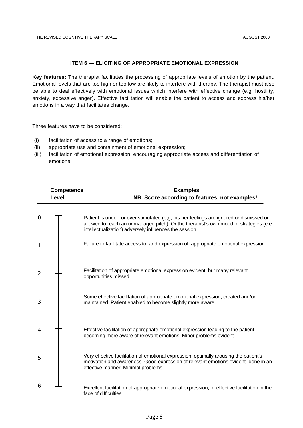#### **ITEM 6 — ELICITING OF APPROPRIATE EMOTIONAL EXPRESSION**

**Key features:** The therapist facilitates the processing of appropriate levels of emotion by the patient. Emotional levels that are too high or too low are likely to interfere with therapy. The therapist must also be able to deal effectively with emotional issues which interfere with effective change (e.g. hostility, anxiety, excessive anger). Effective facilitation will enable the patient to access and express his/her emotions in a way that facilitates change.

Three features have to be considered:

- (i) facilitation of access to a range of emotions;
- (ii) appropriate use and containment of emotional expression;
- (iii) facilitation of emotional expression; encouraging appropriate access and differentiation of emotions.

|                | <b>Competence</b><br>Level | <b>Examples</b><br>NB. Score according to features, not examples!                                                                                                                                                                          |
|----------------|----------------------------|--------------------------------------------------------------------------------------------------------------------------------------------------------------------------------------------------------------------------------------------|
| $\theta$       |                            | Patient is under- or over stimulated (e,g, his her feelings are ignored or dismissed or<br>allowed to reach an unmanaged pitch). Or the therapist's own mood or strategies (e.e.<br>intellectualization) adversely influences the session. |
| 1              |                            | Failure to facilitate access to, and expression of, appropriate emotional expression.                                                                                                                                                      |
| $\overline{2}$ |                            | Facilitation of appropriate emotional expression evident, but many relevant<br>opportunities missed.                                                                                                                                       |
| 3              |                            | Some effective facilitation of appropriate emotional expression, created and/or<br>maintained. Patient enabled to become slightly more aware.                                                                                              |
| 4              |                            | Effective facilitation of appropriate emotional expression leading to the patient<br>becoming more aware of relevant emotions. Minor problems evident.                                                                                     |
| 5              |                            | Very effective facilitation of emotional expression, optimally arousing the patient's<br>motivation and awareness. Good expression of relevant emotions evident- done in an<br>effective manner. Minimal problems.                         |
| 6              |                            | Excellent facilitation of appropriate emotional expression, or effective facilitation in the<br>face of difficulties                                                                                                                       |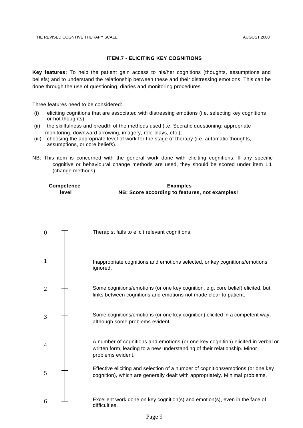#### **ITEM.7 - ELICITING KEY COGNITIONS**

**Key features:** To help the patient gain access to his/her cognitions (thoughts, assumptions and beliefs) and to understand the relationship between these and their distressing emotions. This can be done through the use of questioning, diaries and monitoring procedures.

Three features need to be considered:

- (i) eliciting cognitions that are associated with distressing emotions (i.e. selecting key cognitions or hot thoughts);
- (ii) the skillfulness and breadth of the methods used (i.e. Socratic questioning; appropriate monitoring, downward arrowing, imagery, role-plays, etc.);
- (iii) choosing the appropriate level of work for the stage of therapy (i.e. automatic thoughts, assumptions, or core beliefs).
- NB: This item is concerned with the general work done with eliciting cognitions. If any specific cognitive or behavioural change methods are used, they should be scored under item 1 1 (change methods).

| <b>Competence</b> | <b>Examples</b>                                |
|-------------------|------------------------------------------------|
| level             | NB: Score according to features, not examples! |

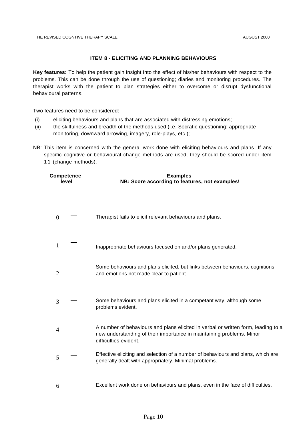#### **ITEM 8 - ELICITING AND PLANNING BEHAVIOURS**

**Key features:** To help the patient gain insight into the effect of his/her behaviours with respect to the problems. This can be done through the use of questioning; diaries and monitoring procedures. The therapist works with the patient to plan strategies either to overcome or disrupt dysfunctional behavioural patterns.

Two features need to be considered:

- (i) eliciting behaviours and plans that are associated with distressing emotions;
- (ii) the skilfulness and breadth of the methods used (i.e. Socratic questioning; appropriate monitoring, downward arrowing, imagery, role-plays, etc.);
- NB: This item is concerned with the general work done with eliciting behaviours and plans. If any specific cognitive or behavioural change methods are used, they should be scored under item 11 (change methods).

| <b>Competence</b><br>level | <b>Examples</b><br>NB: Score according to features, not examples!                                                                                                                  |
|----------------------------|------------------------------------------------------------------------------------------------------------------------------------------------------------------------------------|
|                            |                                                                                                                                                                                    |
| $\boldsymbol{0}$           | Therapist fails to elicit relevant behaviours and plans.                                                                                                                           |
| $\mathbf{1}$               | Inappropriate behaviours focused on and/or plans generated.                                                                                                                        |
| $\overline{2}$             | Some behaviours and plans elicited, but links between behaviours, cognitions<br>and emotions not made clear to patient.                                                            |
| 3                          | Some behaviours and plans elicited in a competant way, although some<br>problems evident.                                                                                          |
| $\overline{4}$             | A number of behaviours and plans elicited in verbal or written form, leading to a<br>new understanding of their importance in maintaining problems. Minor<br>difficulties evident. |
| 5                          | Effective eliciting and selection of a number of behaviours and plans, which are<br>generally dealt with appropriately. Minimal problems.                                          |
| 6                          | Excellent work done on behaviours and plans, even in the face of difficulties.                                                                                                     |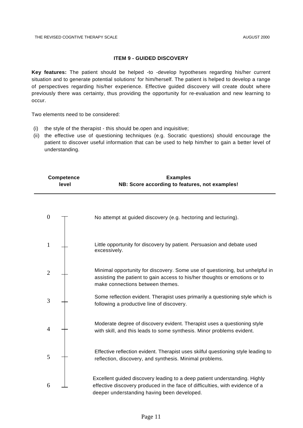## **ITEM 9 - GUIDED DISCOVERY**

**Key features:** The patient should be helped -to -develop hypotheses regarding his/her current situation and to generate potential solutions' for him/herself. The patient is helped to develop a range of perspectives regarding his/her experience. Effective guided discovery will create doubt where previously there was certainty, thus providing the opportunity for re-evaluation and new learning to occur.

Two elements need to be considered:

- (i) the style of the therapist this should be.open and inquisitive;
- (ii) the effective use of questioning techniques (e.g. Socratic questions) should encourage the patient to discover useful information that can be used to help him/her to gain a better level of understanding.

| <b>Competence</b><br>level |  | <b>Examples</b><br>NB: Score according to features, not examples!                                                                                                                                         |
|----------------------------|--|-----------------------------------------------------------------------------------------------------------------------------------------------------------------------------------------------------------|
| $\boldsymbol{0}$           |  | No attempt at guided discovery (e.g. hectoring and lecturing).                                                                                                                                            |
| $\mathbf{1}$               |  | Little opportunity for discovery by patient. Persuasion and debate used<br>excessively.                                                                                                                   |
| $\mathbf{2}$               |  | Minimal opportunity for discovery. Some use of questioning, but unhelpful in<br>assisting the patient to gain access to his/her thoughts or emotions or to<br>make connections between themes.            |
| 3                          |  | Some reflection evident. Therapist uses primarily a questioning style which is<br>following a productive line of discovery.                                                                               |
| 4                          |  | Moderate degree of discovery evident. Therapist uses a questioning style<br>with skill, and this leads to some synthesis. Minor problems evident.                                                         |
| 5                          |  | Effective reflection evident. Therapist uses skilful questioning style leading to<br>reflection, discovery, and synthesis. Minimal problems.                                                              |
| 6                          |  | Excellent guided discovery leading to a deep patient understanding. Highly<br>effective discovery produced in the face of difficulties, with evidence of a<br>deeper understanding having been developed. |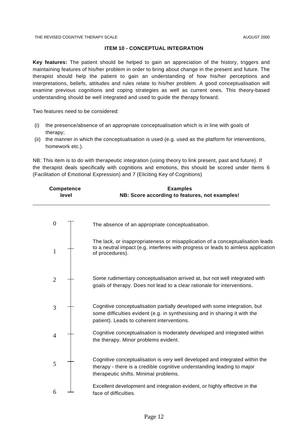#### **ITEM 10 - CONCEPTUAL INTEGRATION**

**Key features:** The patient should be helped to gain an appreciation of the history, triggers and maintaining features of his/her problem in order to bring about change in the present and future. The therapist should help the patient to gain an understanding of how his/her perceptions and interpretations, beliefs, attitudes and rules relate to his/her problem. A good conceptualisation will examine previous cognitions and coping strategies as well as current ones. This theory-based understanding should be well integrated and used to guide the therapy forward.

Two features need to be considered:

- (i) the presence/absence of an appropriate conceptualisation which is in line with goals of therapy;
- (ii) the manner in which the conceptualisation is used (e.g. used as the platform for interventions, homework etc.).

NB: This item is to do with therapeutic integration (using theory to link present, past and future). If the therapist deals specifically with cognitions and emotions, this should be scored under Items 6 (Facilitation of Emotional Expression) and 7 (Eliciting Key of Cognitions)

|                  | <b>Competence</b><br>level | <b>Examples</b><br>NB: Score according to features, not examples!                                                                                                                                      |
|------------------|----------------------------|--------------------------------------------------------------------------------------------------------------------------------------------------------------------------------------------------------|
| $\boldsymbol{0}$ |                            | The absence of an appropriate conceptualisation.                                                                                                                                                       |
| $\mathbf{1}$     |                            | The lack, or inappropriateness or misapplication of a conceptualisation leads<br>to a neutral impact (e.g. interferes with progress or leads to aimless application<br>of procedures).                 |
| $\overline{2}$   |                            | Some rudimentary conceptualisation arrived at, but not well integrated with<br>goals of therapy. Does not lead to a clear rationale for interventions.                                                 |
| $\mathfrak{Z}$   |                            | Cognitive conceptualisation partially developed with some integration, but<br>some difficulties evident (e.g. in synthesising and in sharing it with the<br>patient). Leads to coherent interventions. |
| $\overline{4}$   |                            | Cognitive conceptualisation is moderately developed and integrated within<br>the therapy. Minor problems evident.                                                                                      |
| 5                |                            | Cognitive conceptualisation is very well developed and integrated within the<br>therapy - there is a credible cognitive understanding leading to major<br>therapeutic shifts. Minimal problems.        |
| 6                |                            | Excellent development and integration evident, or highly effective in the<br>face of difficulties.                                                                                                     |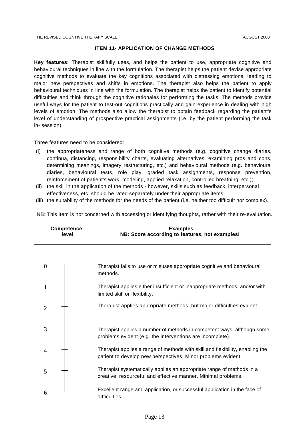#### **ITEM 11- APPLICATION OF CHANGE METHODS**

**Key features:** Therapist skillfully uses, and helps the patient to use, appropriate cognitive and behavioural techniques in line with the formulation. The therapist helps the patient devise appropriate cognitive methods to evaluate the key cognitions associated with distressing emotions, leading to major new perspectives and shifts in emotions. The therapist also helps the patient to apply behavioural techniques in line with the formulation. The therapist helps the patient to identify potential difficulties and think through the cognitive rationales for performing the tasks. The methods provide useful ways for the patient to test-out cognitions practically and gain experience in dealing with high levels of emotion. The methods also allow the therapist to obtain feedback regarding the patient's level of understanding of prospective practical assignments (i.e. by the patient performing the task in- session).

#### Three features need to be considered:

- (i) the appropriateness and range of both cognitive methods (e.g. cognitive change diaries, continua, distancing, responsibility charts, evaluating alternatives, examining pros and cons, determining meanings, imagery restructuring, etc.) and behavioural methods (e.g. behavioural diaries, behavioural tests, role play, graded task assignments, response prevention, reinforcement of patient's work, modeling, applied relaxation, controlled breathing, etc.);
- (ii) the skill in the application of the methods however, skills such as feedback, interpersonal effectiveness, etc. should be rated separately under their appropriate items;
- (iii) the suitability of the methods for the needs of the patient (i.e. neither too difficult nor complex).

NB: This item is not concerned with accessing or identifying thoughts, rather with their re-evaluation.

| <b>Competence</b><br>level | <b>Examples</b><br>NB: Score according to features, not examples!                                                                             |
|----------------------------|-----------------------------------------------------------------------------------------------------------------------------------------------|
|                            |                                                                                                                                               |
| $\overline{0}$             | Therapist fails to use or misuses appropriate cognitive and behavioural<br>methods.                                                           |
| 1                          | Therapist applies either insufficient or inappropriate methods, and/or with<br>limited skill or flexibility.                                  |
| $\overline{2}$             | Therapist applies appropriate methods, but major difficulties evident.                                                                        |
| 3                          | Therapist applies a number of methods in competent ways, although some<br>problems evident (e.g. the interventions are incomplete).           |
| 4                          | Therapist applies a range of methods with skill and flexibility, enabling the<br>patient to develop new perspectives. Minor problems evident. |
| 5                          | Therapist systematically applies an appropriate range of methods in a<br>creative, resourceful and effective manner. Minimal problems.        |
| 6                          | Excellent range and application, or successful application in the face of<br>difficulties.                                                    |